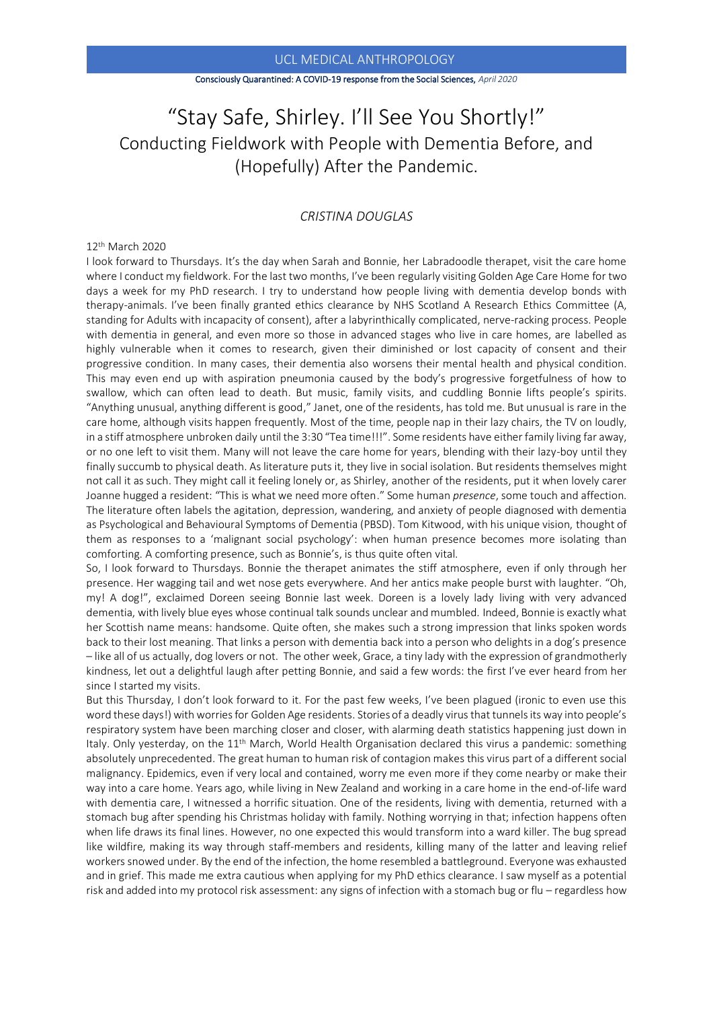### UCL MEDICAL ANTHROPOLOGY

#### Consciously Quarantined: A COVID-19 response from the Social Sciences, *April 2020*

# "Stay Safe, Shirley. I'll See You Shortly!" Conducting Fieldwork with People with Dementia Before, and (Hopefully) After the Pandemic.

# *CRISTINA DOUGLAS*

## 12th March 2020

I look forward to Thursdays. It's the day when Sarah and Bonnie, her Labradoodle therapet, visit the care home where I conduct my fieldwork. For the last two months, I've been regularly visiting Golden Age Care Home for two days a week for my PhD research. I try to understand how people living with dementia develop bonds with therapy-animals. I've been finally granted ethics clearance by NHS Scotland A Research Ethics Committee (A, standing for Adults with incapacity of consent), after a labyrinthically complicated, nerve-racking process. People with dementia in general, and even more so those in advanced stages who live in care homes, are labelled as highly vulnerable when it comes to research, given their diminished or lost capacity of consent and their progressive condition. In many cases, their dementia also worsens their mental health and physical condition. This may even end up with aspiration pneumonia caused by the body's progressive forgetfulness of how to swallow, which can often lead to death. But music, family visits, and cuddling Bonnie lifts people's spirits. "Anything unusual, anything different is good," Janet, one of the residents, has told me. But unusual is rare in the care home, although visits happen frequently. Most of the time, people nap in their lazy chairs, the TV on loudly, in a stiff atmosphere unbroken daily until the 3:30 "Tea time!!!". Some residents have either family living far away, or no one left to visit them. Many will not leave the care home for years, blending with their lazy-boy until they finally succumb to physical death. As literature puts it, they live in social isolation. But residents themselves might not call it as such. They might call it feeling lonely or, as Shirley, another of the residents, put it when lovely carer Joanne hugged a resident: "This is what we need more often." Some human *presence*, some touch and affection. The literature often labels the agitation, depression, wandering, and anxiety of people diagnosed with dementia as Psychological and Behavioural Symptoms of Dementia (PBSD). Tom Kitwood, with his unique vision, thought of them as responses to a 'malignant social psychology': when human presence becomes more isolating than comforting. A comforting presence, such as Bonnie's, is thus quite often vital.

So, I look forward to Thursdays. Bonnie the therapet animates the stiff atmosphere, even if only through her presence. Her wagging tail and wet nose gets everywhere. And her antics make people burst with laughter. "Oh, my! A dog!", exclaimed Doreen seeing Bonnie last week. Doreen is a lovely lady living with very advanced dementia, with lively blue eyes whose continual talk sounds unclear and mumbled. Indeed, Bonnie is exactly what her Scottish name means: handsome. Quite often, she makes such a strong impression that links spoken words back to their lost meaning. That links a person with dementia back into a person who delights in a dog's presence – like all of us actually, dog lovers or not. The other week, Grace, a tiny lady with the expression of grandmotherly kindness, let out a delightful laugh after petting Bonnie, and said a few words: the first I've ever heard from her since I started my visits.

But this Thursday, I don't look forward to it. For the past few weeks, I've been plagued (ironic to even use this word these days!) with worries for Golden Age residents. Stories of a deadly virus that tunnels its way into people's respiratory system have been marching closer and closer, with alarming death statistics happening just down in Italy. Only yesterday, on the 11<sup>th</sup> March, World Health Organisation declared this virus a pandemic: something absolutely unprecedented. The great human to human risk of contagion makes this virus part of a different social malignancy. Epidemics, even if very local and contained, worry me even more if they come nearby or make their way into a care home. Years ago, while living in New Zealand and working in a care home in the end-of-life ward with dementia care, I witnessed a horrific situation. One of the residents, living with dementia, returned with a stomach bug after spending his Christmas holiday with family. Nothing worrying in that; infection happens often when life draws its final lines. However, no one expected this would transform into a ward killer. The bug spread like wildfire, making its way through staff-members and residents, killing many of the latter and leaving relief workers snowed under. By the end of the infection, the home resembled a battleground. Everyone was exhausted and in grief. This made me extra cautious when applying for my PhD ethics clearance. I saw myself as a potential risk and added into my protocol risk assessment: any signs of infection with a stomach bug or flu – regardless how